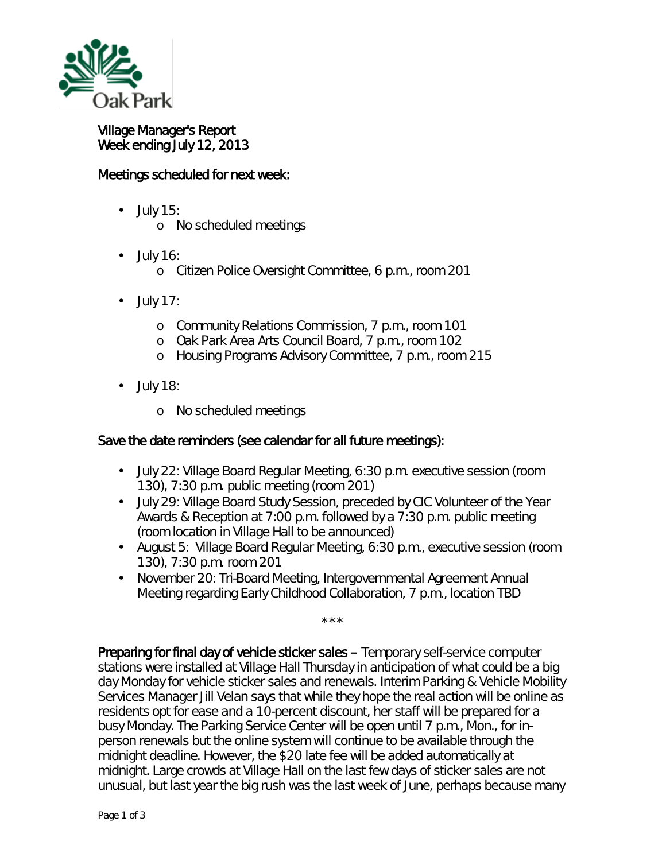

Village Manager's Report Week ending July 12, 2013

## Meetings scheduled for next week:

- July 15: ä,
	- o No scheduled meetings
- July 16: ä,
	- o Citizen Police Oversight Committee, 6 p.m., room 201
- July 17: ä,
	- o Community Relations Commission, 7 p.m., room 101
	- o Oak Park Area Arts Council Board, 7 p.m., room 102
	- o Housing Programs Advisory Committee, 7 p.m., room 215
- July 18: ä,
	- o No scheduled meetings

## Save the date reminders (see calendar for all future meetings):

- July 22: Village Board Regular Meeting, 6:30 p.m. executive session (room 130), 7:30 p.m. public meeting (room 201)
- July 29: Village Board Study Session, preceded by CIC Volunteer of the Year Awards & Reception at 7:00 p.m. followed by a 7:30 p.m. public meeting (room location in Village Hall to be announced)
- August 5: Village Board Regular Meeting, 6:30 p.m., executive session (room 130), 7:30 p.m. room 201
- $\mathcal{L}^{\text{max}}$ November 20: Tri-Board Meeting, Intergovernmental Agreement Annual Meeting regarding Early Childhood Collaboration, 7 p.m., location TBD

\*\*\*

Preparing for final day of vehicle sticker sales – Temporary self-service computer stations were installed at Village Hall Thursday in anticipation of what could be a big day Monday for vehicle sticker sales and renewals. Interim Parking & Vehicle Mobility Services Manager Jill Velan says that while they hope the real action will be online as residents opt for ease and a 10-percent discount, her staff will be prepared for a busy Monday. The Parking Service Center will be open until 7 p.m., Mon., for inperson renewals but the online system will continue to be available through the midnight deadline. However, the \$20 late fee will be added automatically at midnight. Large crowds at Village Hall on the last few days of sticker sales are not unusual, but last year the big rush was the last week of June, perhaps because many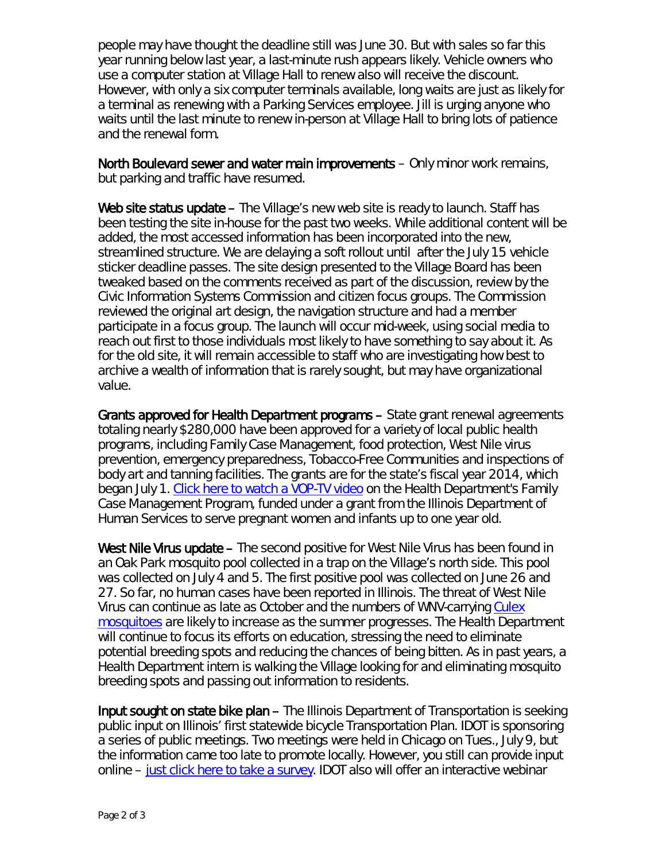people may have thought the deadline still was June 30. But with sales so far this year running below last year, a last-minute rush appears likely. Vehicle owners who use a computer station at Village Hall to renew also will receive the discount. However, with only a six computer terminals available, long waits are just as likely for a terminal as renewing with a Parking Services employee. Jill is urging anyone who waits until the last minute to renew in-person at Village Hall to bring lots of patience and the renewal form.

North Boulevard sewer and water main improvements – Only minor work remains, but parking and traffic have resumed.

Web site status update – The Village's new web site is ready to launch. Staff has been testing the site in-house for the past two weeks. While additional content will be added, the most accessed information has been incorporated into the new, streamlined structure. We are delaying a soft rollout until after the July 15 vehicle sticker deadline passes. The site design presented to the Village Board has been tweaked based on the comments received as part of the discussion, review by the Civic Information Systems Commission and citizen focus groups. The Commission reviewed the original art design, the navigation structure and had a member participate in a focus group. The launch will occur mid-week, using social media to reach out first to those individuals most likely to have something to say about it. As for the old site, it will remain accessible to staff who are investigating how best to archive a wealth of information that is rarely sought, but may have organizational value.

Grants approved for Health Department programs – State grant renewal agreements totaling nearly \$280,000 have been approved for a variety of local public health programs, including Family Case Management, food protection, West Nile virus prevention, emergency preparedness, Tobacco-Free Communities and inspections of body art and tanning facilities. The grants are for the state's fiscal year 2014, which began July 1. [Click here to watch a VOP-TV video](http://www.youtube.com/watch?v=TRoABYUx8j8) on the Health Department's Family Case Management Program, funded under a grant from the Illinois Department of Human Services to serve pregnant women and infants up to one year old.

West Nile Virus update – The second positive for West Nile Virus has been found in an Oak Park mosquito pool collected in a trap on the Village's north side. This pool was collected on July 4 and 5. The first positive pool was collected on June 26 and 27. So far, no human cases have been reported in Illinois. The threat of West Nile Virus can continue as late as October and the numbers of WNV-carrying [Culex](http://www.idph.state.il.us/envhealth/pcmosquitoes.htm)  [mosquitoes](http://www.idph.state.il.us/envhealth/pcmosquitoes.htm) are likely to increase as the summer progresses. The Health Department will continue to focus its efforts on education, stressing the need to eliminate potential breeding spots and reducing the chances of being bitten. As in past years, a Health Department intern is walking the Village looking for and eliminating mosquito breeding spots and passing out information to residents.

Input sought on state bike plan – The Illinois Department of Transportation is seeking public input on Illinois' first statewide bicycle Transportation Plan. IDOT is sponsoring a series of public meetings. Two meetings were held in Chicago on Tues., July 9, but the information came too late to promote locally. However, you still can provide input online – [just click here to take a survey.](http://illinoisbikeplan.com/illinois-bike-transportation-plan/provide-your-input/) IDOT also will offer an interactive webinar